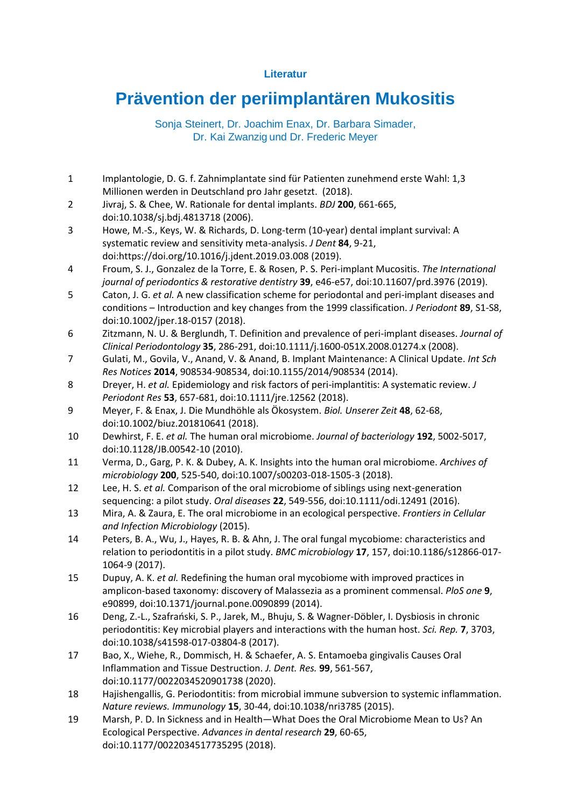## **Literatur**

## **Prävention der periimplantären Mukositis**

Sonja Steinert, Dr. Joachim Enax, Dr. Barbara Simader, Dr. Kai Zwanzig und Dr. Frederic Meyer

- 1 Implantologie, D. G. f. Zahnimplantate sind für Patienten zunehmend erste Wahl: 1,3 Millionen werden in Deutschland pro Jahr gesetzt. (2018).
- 2 Jivraj, S. & Chee, W. Rationale for dental implants. *BDJ* **200**, 661-665, doi:10.1038/sj.bdj.4813718 (2006).
- 3 Howe, M.-S., Keys, W. & Richards, D. Long-term (10-year) dental implant survival: A systematic review and sensitivity meta-analysis. *J Dent* **84**, 9-21, doi:https://doi.org/10.1016/j.jdent.2019.03.008 (2019).
- 4 Froum, S. J., Gonzalez de la Torre, E. & Rosen, P. S. Peri-implant Mucositis. *The International journal of periodontics & restorative dentistry* **39**, e46-e57, doi:10.11607/prd.3976 (2019).
- 5 Caton, J. G. *et al.* A new classification scheme for periodontal and peri-implant diseases and conditions – Introduction and key changes from the 1999 classification. *J Periodont* **89**, S1-S8, doi:10.1002/jper.18-0157 (2018).
- 6 Zitzmann, N. U. & Berglundh, T. Definition and prevalence of peri-implant diseases. *Journal of Clinical Periodontology* **35**, 286-291, doi:10.1111/j.1600-051X.2008.01274.x (2008).
- 7 Gulati, M., Govila, V., Anand, V. & Anand, B. Implant Maintenance: A Clinical Update. *Int Sch Res Notices* **2014**, 908534-908534, doi:10.1155/2014/908534 (2014).
- 8 Dreyer, H. *et al.* Epidemiology and risk factors of peri-implantitis: A systematic review. *J Periodont Res* **53**, 657-681, doi:10.1111/jre.12562 (2018).
- 9 Meyer, F. & Enax, J. Die Mundhöhle als Ökosystem. *Biol. Unserer Zeit* **48**, 62-68, doi:10.1002/biuz.201810641 (2018).
- 10 Dewhirst, F. E. *et al.* The human oral microbiome. *Journal of bacteriology* **192**, 5002-5017, doi:10.1128/JB.00542-10 (2010).
- 11 Verma, D., Garg, P. K. & Dubey, A. K. Insights into the human oral microbiome. *Archives of microbiology* **200**, 525-540, doi:10.1007/s00203-018-1505-3 (2018).
- 12 Lee, H. S. *et al.* Comparison of the oral microbiome of siblings using next-generation sequencing: a pilot study. *Oral diseases* **22**, 549-556, doi:10.1111/odi.12491 (2016).
- 13 Mira, A. & Zaura, E. The oral microbiome in an ecological perspective. *Frontiers in Cellular and Infection Microbiology* (2015).
- 14 Peters, B. A., Wu, J., Hayes, R. B. & Ahn, J. The oral fungal mycobiome: characteristics and relation to periodontitis in a pilot study. *BMC microbiology* **17**, 157, doi:10.1186/s12866-017- 1064-9 (2017).
- 15 Dupuy, A. K. *et al.* Redefining the human oral mycobiome with improved practices in amplicon-based taxonomy: discovery of Malassezia as a prominent commensal. *PloS one* **9**, e90899, doi:10.1371/journal.pone.0090899 (2014).
- 16 Deng, Z.-L., Szafrański, S. P., Jarek, M., Bhuju, S. & Wagner-Döbler, I. Dysbiosis in chronic periodontitis: Key microbial players and interactions with the human host. *Sci. Rep.* **7**, 3703, doi:10.1038/s41598-017-03804-8 (2017).
- 17 Bao, X., Wiehe, R., Dommisch, H. & Schaefer, A. S. Entamoeba gingivalis Causes Oral Inflammation and Tissue Destruction. *J. Dent. Res.* **99**, 561-567, doi:10.1177/0022034520901738 (2020).
- 18 Hajishengallis, G. Periodontitis: from microbial immune subversion to systemic inflammation. *Nature reviews. Immunology* **15**, 30-44, doi:10.1038/nri3785 (2015).
- 19 Marsh, P. D. In Sickness and in Health—What Does the Oral Microbiome Mean to Us? An Ecological Perspective. *Advances in dental research* **29**, 60-65, doi:10.1177/0022034517735295 (2018).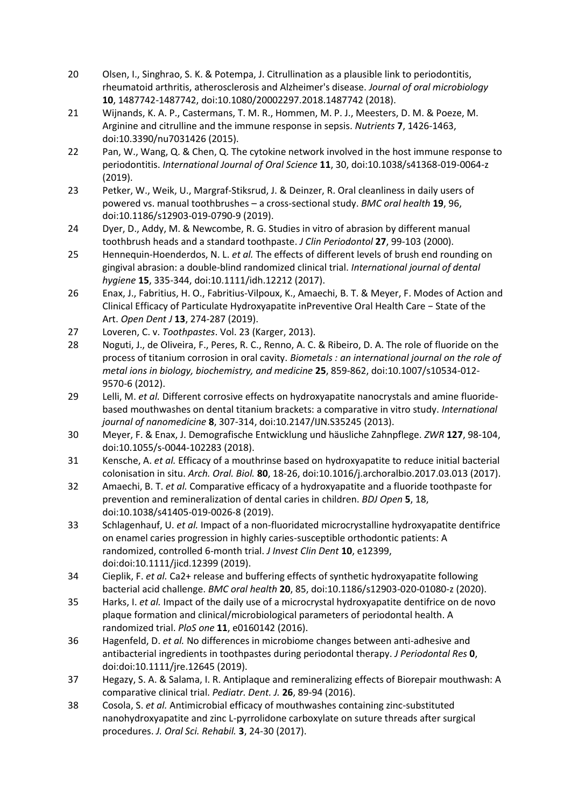- 20 Olsen, I., Singhrao, S. K. & Potempa, J. Citrullination as a plausible link to periodontitis, rheumatoid arthritis, atherosclerosis and Alzheimer's disease. *Journal of oral microbiology* **10**, 1487742-1487742, doi:10.1080/20002297.2018.1487742 (2018).
- 21 Wijnands, K. A. P., Castermans, T. M. R., Hommen, M. P. J., Meesters, D. M. & Poeze, M. Arginine and citrulline and the immune response in sepsis. *Nutrients* **7**, 1426-1463, doi:10.3390/nu7031426 (2015).
- 22 Pan, W., Wang, Q. & Chen, Q. The cytokine network involved in the host immune response to periodontitis. *International Journal of Oral Science* **11**, 30, doi:10.1038/s41368-019-0064-z (2019).
- 23 Petker, W., Weik, U., Margraf-Stiksrud, J. & Deinzer, R. Oral cleanliness in daily users of powered vs. manual toothbrushes – a cross-sectional study. *BMC oral health* **19**, 96, doi:10.1186/s12903-019-0790-9 (2019).
- 24 Dyer, D., Addy, M. & Newcombe, R. G. Studies in vitro of abrasion by different manual toothbrush heads and a standard toothpaste. *J Clin Periodontol* **27**, 99-103 (2000).
- 25 Hennequin-Hoenderdos, N. L. *et al.* The effects of different levels of brush end rounding on gingival abrasion: a double-blind randomized clinical trial. *International journal of dental hygiene* **15**, 335-344, doi:10.1111/idh.12212 (2017).
- 26 Enax, J., Fabritius, H. O., Fabritius-Vilpoux, K., Amaechi, B. T. & Meyer, F. Modes of Action and Clinical Efficacy of Particulate Hydroxyapatite inPreventive Oral Health Care − State of the Art. *Open Dent J* **13**, 274-287 (2019).
- 27 Loveren, C. v. *Toothpastes*. Vol. 23 (Karger, 2013).
- 28 Noguti, J., de Oliveira, F., Peres, R. C., Renno, A. C. & Ribeiro, D. A. The role of fluoride on the process of titanium corrosion in oral cavity. *Biometals : an international journal on the role of metal ions in biology, biochemistry, and medicine* **25**, 859-862, doi:10.1007/s10534-012- 9570-6 (2012).
- 29 Lelli, M. *et al.* Different corrosive effects on hydroxyapatite nanocrystals and amine fluoridebased mouthwashes on dental titanium brackets: a comparative in vitro study. *International journal of nanomedicine* **8**, 307-314, doi:10.2147/IJN.S35245 (2013).
- 30 Meyer, F. & Enax, J. Demografische Entwicklung und häusliche Zahnpflege. *ZWR* **127**, 98-104, doi:10.1055/s-0044-102283 (2018).
- 31 Kensche, A. *et al.* Efficacy of a mouthrinse based on hydroxyapatite to reduce initial bacterial colonisation in situ. *Arch. Oral. Biol.* **80**, 18-26, doi:10.1016/j.archoralbio.2017.03.013 (2017).
- 32 Amaechi, B. T. *et al.* Comparative efficacy of a hydroxyapatite and a fluoride toothpaste for prevention and remineralization of dental caries in children. *BDJ Open* **5**, 18, doi:10.1038/s41405-019-0026-8 (2019).
- 33 Schlagenhauf, U. *et al.* Impact of a non-fluoridated microcrystalline hydroxyapatite dentifrice on enamel caries progression in highly caries-susceptible orthodontic patients: A randomized, controlled 6-month trial. *J Invest Clin Dent* **10**, e12399, doi:doi:10.1111/jicd.12399 (2019).
- 34 Cieplik, F. *et al.* Ca2+ release and buffering effects of synthetic hydroxyapatite following bacterial acid challenge. *BMC oral health* **20**, 85, doi:10.1186/s12903-020-01080-z (2020).
- 35 Harks, I. *et al.* Impact of the daily use of a microcrystal hydroxyapatite dentifrice on de novo plaque formation and clinical/microbiological parameters of periodontal health. A randomized trial. *PloS one* **11**, e0160142 (2016).
- 36 Hagenfeld, D. *et al.* No differences in microbiome changes between anti-adhesive and antibacterial ingredients in toothpastes during periodontal therapy. *J Periodontal Res* **0**, doi:doi:10.1111/jre.12645 (2019).
- 37 Hegazy, S. A. & Salama, I. R. Antiplaque and remineralizing effects of Biorepair mouthwash: A comparative clinical trial. *Pediatr. Dent. J.* **26**, 89-94 (2016).
- 38 Cosola, S. *et al.* Antimicrobial efficacy of mouthwashes containing zinc-substituted nanohydroxyapatite and zinc L-pyrrolidone carboxylate on suture threads after surgical procedures. *J. Oral Sci. Rehabil.* **3**, 24-30 (2017).